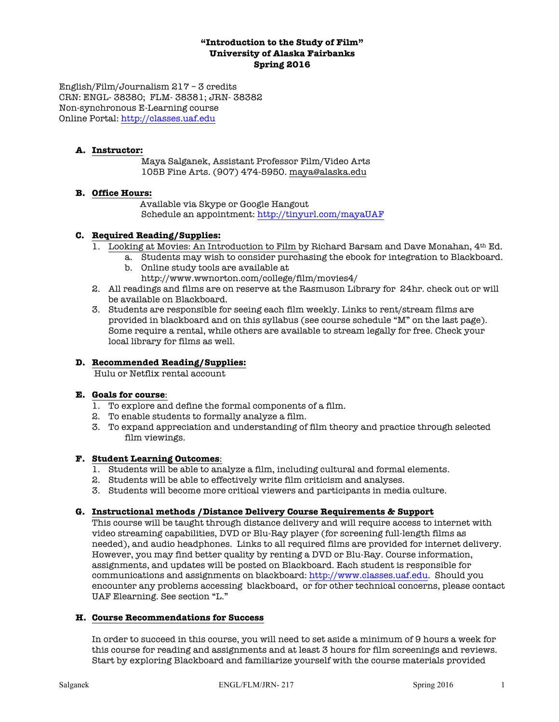### **"Introduction to the Study of Film" University of Alaska Fairbanks Spring 2016**

English/Film/Journalism 217 – 3 credits CRN: ENGL- 38380; FLM- 38381; JRN- 38382 Non-synchronous E-Learning course Online Portal: http://classes.uaf.edu

## **A. Instructor:**

Maya Salganek, Assistant Professor Film/Video Arts 105B Fine Arts. (907) 474-5950. maya@alaska.edu

### **B. Office Hours:**

 Available via Skype or Google Hangout Schedule an appointment: http://tinyurl.com/mayaUAF

### **C. Required Reading/Supplies:**

- 1. Looking at Movies: An Introduction to Film by Richard Barsam and Dave Monahan, 4th Ed.
	- a. Students may wish to consider purchasing the ebook for integration to Blackboard.
		- b. Online study tools are available at
			- http://www.wwnorton.com/college/film/movies4/
- 2. All readings and films are on reserve at the Rasmuson Library for 24hr. check out or will be available on Blackboard.
- 3. Students are responsible for seeing each film weekly. Links to rent/stream films are provided in blackboard and on this syllabus (see course schedule "M" on the last page). Some require a rental, while others are available to stream legally for free. Check your local library for films as well.

## **D. Recommended Reading/Supplies:**

Hulu or Netflix rental account

### **E. Goals for course**:

- 1. To explore and define the formal components of a film.
- 2. To enable students to formally analyze a film.
- 3. To expand appreciation and understanding of film theory and practice through selected film viewings.

### **F. Student Learning Outcomes**:

- 1. Students will be able to analyze a film, including cultural and formal elements.
- 2. Students will be able to effectively write film criticism and analyses.
- 3. Students will become more critical viewers and participants in media culture.

## **G. Instructional methods /Distance Delivery Course Requirements & Support**

This course will be taught through distance delivery and will require access to internet with video streaming capabilities, DVD or Blu-Ray player (for screening full-length films as needed), and audio headphones. Links to all required films are provided for internet delivery. However, you may find better quality by renting a DVD or Blu-Ray. Course information, assignments, and updates will be posted on Blackboard. Each student is responsible for communications and assignments on blackboard: http://www.classes.uaf.edu. Should you encounter any problems accessing blackboard, or for other technical concerns, please contact UAF Elearning. See section "L."

### **H. Course Recommendations for Success**

In order to succeed in this course, you will need to set aside a minimum of 9 hours a week for this course for reading and assignments and at least 3 hours for film screenings and reviews. Start by exploring Blackboard and familiarize yourself with the course materials provided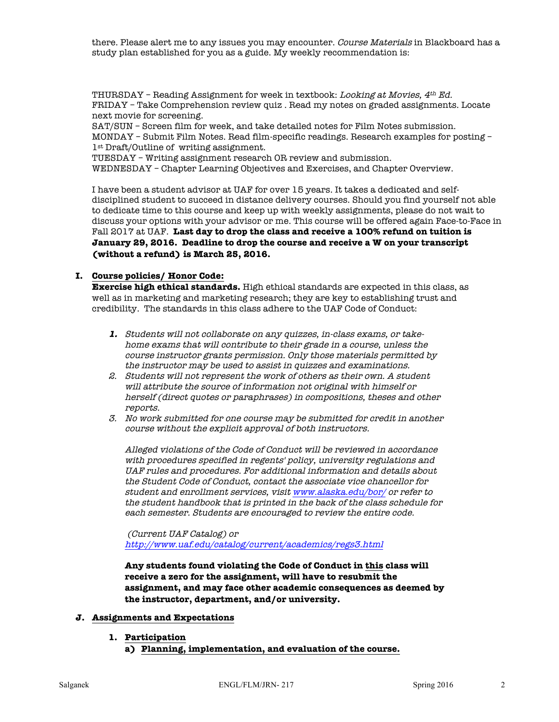there. Please alert me to any issues you may encounter. Course Materials in Blackboard has a study plan established for you as a guide. My weekly recommendation is:

THURSDAY – Reading Assignment for week in textbook: Looking at Movies,  $4^{th}$  Ed. FRIDAY – Take Comprehension review quiz . Read my notes on graded assignments. Locate next movie for screening.

SAT/SUN – Screen film for week, and take detailed notes for Film Notes submission. MONDAY – Submit Film Notes. Read film-specific readings. Research examples for posting – 1st Draft/Outline of writing assignment.

TUESDAY – Writing assignment research OR review and submission. WEDNESDAY – Chapter Learning Objectives and Exercises, and Chapter Overview.

I have been a student advisor at UAF for over 15 years. It takes a dedicated and selfdisciplined student to succeed in distance delivery courses. Should you find yourself not able to dedicate time to this course and keep up with weekly assignments, please do not wait to discuss your options with your advisor or me. This course will be offered again Face-to-Face in Fall 2017 at UAF. **Last day to drop the class and receive a 100% refund on tuition is January 29, 2016. Deadline to drop the course and receive a W on your transcript (without a refund) is March 25, 2016.** 

### **I. Course policies/ Honor Code:**

**Exercise high ethical standards.** High ethical standards are expected in this class, as well as in marketing and marketing research; they are key to establishing trust and credibility. The standards in this class adhere to the UAF Code of Conduct:

- **1.** Students will not collaborate on any quizzes, in-class exams, or takehome exams that will contribute to their grade in a course, unless the course instructor grants permission. Only those materials permitted by the instructor may be used to assist in quizzes and examinations.
- 2. Students will not represent the work of others as their own. A student will attribute the source of information not original with himself or herself (direct quotes or paraphrases) in compositions, theses and other reports.
- 3. No work submitted for one course may be submitted for credit in another course without the explicit approval of both instructors.

Alleged violations of the Code of Conduct will be reviewed in accordance with procedures specified in regents' policy, university regulations and UAF rules and procedures. For additional information and details about the Student Code of Conduct, contact the associate vice chancellor for student and enrollment services, visit www.alaska.edu/bor/ or refer to the student handbook that is printed in the back of the class schedule for each semester. Students are encouraged to review the entire code.

(Current UAF Catalog) or http://www.uaf.edu/catalog/current/academics/regs3.html

**Any students found violating the Code of Conduct in this class will receive a zero for the assignment, will have to resubmit the assignment, and may face other academic consequences as deemed by the instructor, department, and/or university.** 

### **J. Assignments and Expectations**

- **1. Participation**
	- **a) Planning, implementation, and evaluation of the course.**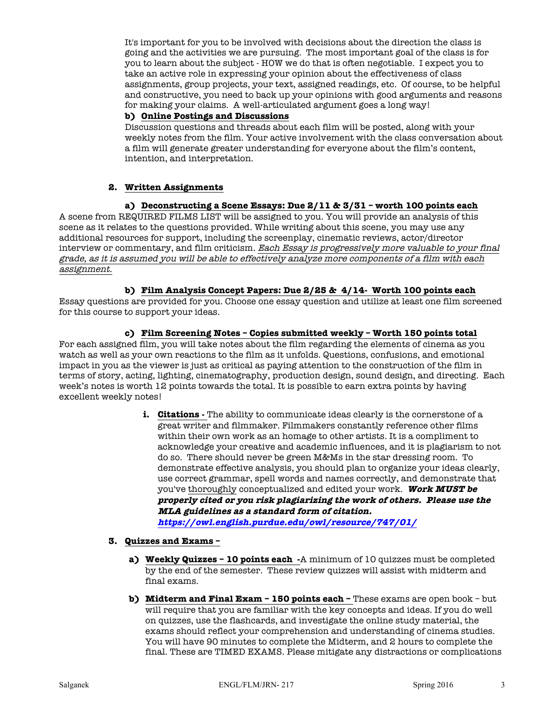It's important for you to be involved with decisions about the direction the class is going and the activities we are pursuing. The most important goal of the class is for you to learn about the subject - HOW we do that is often negotiable. I expect you to take an active role in expressing your opinion about the effectiveness of class assignments, group projects, your text, assigned readings, etc. Of course, to be helpful and constructive, you need to back up your opinions with good arguments and reasons for making your claims. A well-articulated argument goes a long way!

### **b) Online Postings and Discussions**

Discussion questions and threads about each film will be posted, along with your weekly notes from the film. Your active involvement with the class conversation about a film will generate greater understanding for everyone about the film's content, intention, and interpretation.

## **2. Written Assignments**

### **a) Deconstructing a Scene Essays: Due 2/11 & 3/31 – worth 100 points each**

A scene from REQUIRED FILMS LIST will be assigned to you. You will provide an analysis of this scene as it relates to the questions provided. While writing about this scene, you may use any additional resources for support, including the screenplay, cinematic reviews, actor/director interview or commentary, and film criticism. Each Essay is progressively more valuable to your final grade, as it is assumed you will be able to effectively analyze more components of a film with each assignment.

### **b) Film Analysis Concept Papers: Due 2/25 & 4/14- Worth 100 points each**

Essay questions are provided for you. Choose one essay question and utilize at least one film screened for this course to support your ideas.

### **c) Film Screening Notes – Copies submitted weekly – Worth 150 points total**

For each assigned film, you will take notes about the film regarding the elements of cinema as you watch as well as your own reactions to the film as it unfolds. Questions, confusions, and emotional impact in you as the viewer is just as critical as paying attention to the construction of the film in terms of story, acting, lighting, cinematography, production design, sound design, and directing. Each week's notes is worth 12 points towards the total. It is possible to earn extra points by having excellent weekly notes!

> **i. Citations** - The ability to communicate ideas clearly is the cornerstone of a great writer and filmmaker. Filmmakers constantly reference other films within their own work as an homage to other artists. It is a compliment to acknowledge your creative and academic influences, and it is plagiarism to not do so. There should never be green M&Ms in the star dressing room. To demonstrate effective analysis, you should plan to organize your ideas clearly, use correct grammar, spell words and names correctly, and demonstrate that you've thoroughly conceptualized and edited your work. **Work MUST be properly cited or you risk plagiarizing the work of others. Please use the MLA guidelines as a standard form of citation.**

**https://owl.english.purdue.edu/owl/resource/747/01/**

### **3. Quizzes and Exams –**

- **a) Weekly Quizzes – 10 points each -**A minimum of 10 quizzes must be completed by the end of the semester. These review quizzes will assist with midterm and final exams.
- **b) Midterm and Final Exam – 150 points each –** These exams are open book but will require that you are familiar with the key concepts and ideas. If you do well on quizzes, use the flashcards, and investigate the online study material, the exams should reflect your comprehension and understanding of cinema studies. You will have 90 minutes to complete the Midterm, and 2 hours to complete the final. These are TIMED EXAMS. Please mitigate any distractions or complications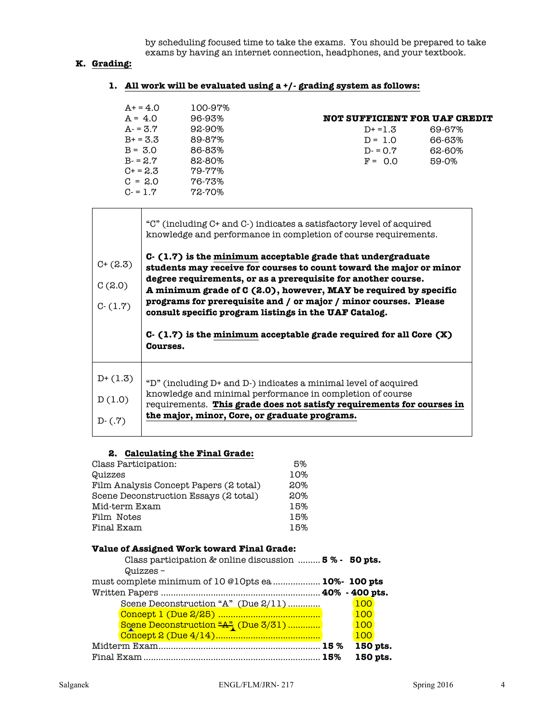by scheduling focused time to take the exams. You should be prepared to take exams by having an internet connection, headphones, and your textbook.

## **K. Grading:**

| $A+ = 4.0$ | 100-97%     |                               |         |
|------------|-------------|-------------------------------|---------|
| $A = 4.0$  | 96-93%      | NOT SUFFICIENT FOR UAF CREDIT |         |
| $A - 3.7$  | $92-90%$    | $D+ = 1.3$                    | 69-67%  |
| $B+ = 3.3$ | 89-87%      | $D = 1.0$                     | 66-63%  |
| $B = 3.0$  | 86-83%      | $D = 0.7$                     | 62-60%  |
| $B = 2.7$  | 82-80%      | $F = 0.0$                     | $59-0%$ |
| $C + 2.3$  | 79-77%      |                               |         |
| $C = 2.0$  | $76 - 73\%$ |                               |         |
| $C = 1.7$  | $72 - 70\%$ |                               |         |

|  |  |  | 1. All work will be evaluated using a +/- grading system as follows: |
|--|--|--|----------------------------------------------------------------------|
|--|--|--|----------------------------------------------------------------------|

|                                    | "C" (including C+ and C-) indicates a satisfactory level of acquired<br>knowledge and performance in completion of course requirements.                                                                                                                                                                                                                                                                 |
|------------------------------------|---------------------------------------------------------------------------------------------------------------------------------------------------------------------------------------------------------------------------------------------------------------------------------------------------------------------------------------------------------------------------------------------------------|
| $C + (2.3)$<br>C(2.0)<br>$C-(1.7)$ | $C - (1.7)$ is the minimum acceptable grade that undergraduate<br>students may receive for courses to count toward the major or minor<br>degree requirements, or as a prerequisite for another course.<br>A minimum grade of C (2.0), however, MAY be required by specific<br>programs for prerequisite and / or major / minor courses. Please<br>consult specific program listings in the UAF Catalog. |
|                                    | $C-$ (1.7) is the minimum acceptable grade required for all Core $(X)$<br><b>Courses.</b>                                                                                                                                                                                                                                                                                                               |
|                                    |                                                                                                                                                                                                                                                                                                                                                                                                         |

## **2. Calculating the Final Grade:**

| Class Participation:                   | 5%  |
|----------------------------------------|-----|
| Quizzes                                | 10% |
| Film Analysis Concept Papers (2 total) | 20% |
| Scene Deconstruction Essays (2 total)  | 20% |
| Mid-term Exam                          | 15% |
| Film Notes                             | 15% |
| Final Exam                             | 15% |

# **Value of Assigned Work toward Final Grade:**

| Class participation & online discussion  5% - 50 pts. |                                     |  |          |  |
|-------------------------------------------------------|-------------------------------------|--|----------|--|
|                                                       | $Quizzes -$                         |  |          |  |
| must complete minimum of 10 @10pts ea 10%- 100 pts    |                                     |  |          |  |
|                                                       |                                     |  |          |  |
|                                                       | Scene Deconstruction "A" (Due 2/11) |  | 100      |  |
|                                                       |                                     |  | 100      |  |
|                                                       | Scene Deconstruction "A" (Due 3/31) |  | 100      |  |
|                                                       |                                     |  | 100      |  |
|                                                       |                                     |  | 150 pts. |  |
|                                                       |                                     |  | 150 pts. |  |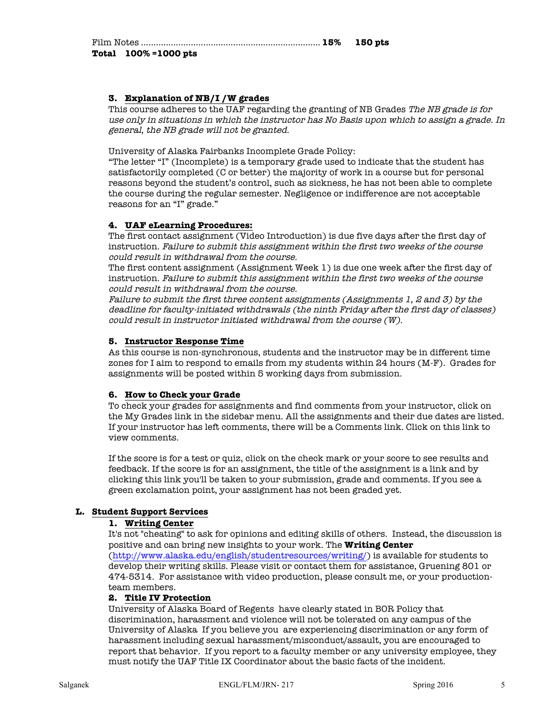| Total 100% = 1000 pts |  |
|-----------------------|--|

## **3. Explanation of NB/I /W grades**

This course adheres to the UAF regarding the granting of NB Grades The NB grade is for use only in situations in which the instructor has No Basis upon which to assign a grade. In general, the NB grade will not be granted.

University of Alaska Fairbanks Incomplete Grade Policy:

"The letter "I" (Incomplete) is a temporary grade used to indicate that the student has satisfactorily completed (C or better) the majority of work in a course but for personal reasons beyond the student's control, such as sickness, he has not been able to complete the course during the regular semester. Negligence or indifference are not acceptable reasons for an "I" grade."

## **4. UAF eLearning Procedures:**

The first contact assignment (Video Introduction) is due five days after the first day of instruction. Failure to submit this assignment within the first two weeks of the course could result in withdrawal from the course.

The first content assignment (Assignment Week 1) is due one week after the first day of instruction. Failure to submit this assignment within the first two weeks of the course could result in withdrawal from the course.

Failure to submit the first three content assignments (Assignments 1, 2 and 3) by the deadline for faculty-initiated withdrawals (the ninth Friday after the first day of classes) could result in instructor initiated withdrawal from the course (W).

### **5. Instructor Response Time**

As this course is non-synchronous, students and the instructor may be in different time zones for I aim to respond to emails from my students within 24 hours (M-F). Grades for assignments will be posted within 5 working days from submission.

### **6. How to Check your Grade**

To check your grades for assignments and find comments from your instructor, click on the My Grades link in the sidebar menu. All the assignments and their due dates are listed. If your instructor has left comments, there will be a Comments link. Click on this link to view comments.

If the score is for a test or quiz, click on the check mark or your score to see results and feedback. If the score is for an assignment, the title of the assignment is a link and by clicking this link you'll be taken to your submission, grade and comments. If you see a green exclamation point, your assignment has not been graded yet.

### **L. Student Support Services**

### **1. Writing Center**

It's not "cheating" to ask for opinions and editing skills of others. Instead, the discussion is positive and can bring new insights to your work. The **Writing Center** (http://www.alaska.edu/english/studentresources/writing/) is available for students to develop their writing skills. Please visit or contact them for assistance, Gruening 801 or 474-5314. For assistance with video production, please consult me, or your productionteam members.

### **2. Title IV Protection**

University of Alaska Board of Regents have clearly stated in BOR Policy that discrimination, harassment and violence will not be tolerated on any campus of the University of Alaska If you believe you are experiencing discrimination or any form of harassment including sexual harassment/misconduct/assault, you are encouraged to report that behavior. If you report to a faculty member or any university employee, they must notify the UAF Title IX Coordinator about the basic facts of the incident.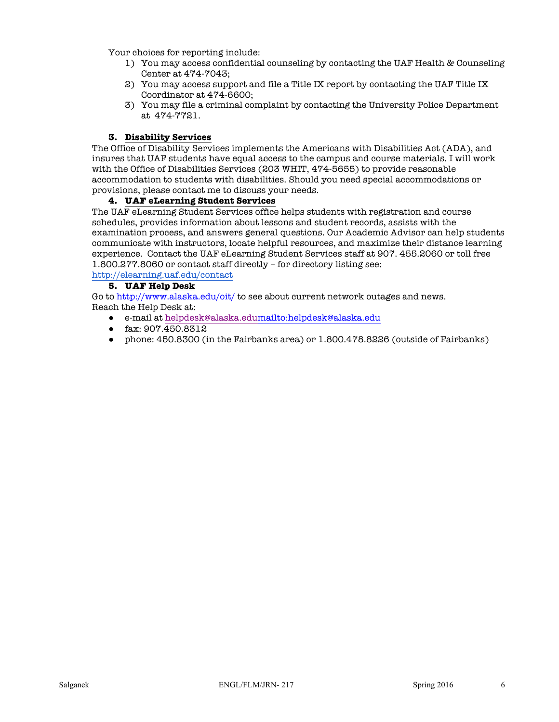Your choices for reporting include:

- 1) You may access confidential counseling by contacting the UAF Health & Counseling Center at 474-7043;
- 2) You may access support and file a Title IX report by contacting the UAF Title IX Coordinator at 474-6600;
- 3) You may file a criminal complaint by contacting the University Police Department at 474-7721.

### **3. Disability Services**

The Office of Disability Services implements the Americans with Disabilities Act (ADA), and insures that UAF students have equal access to the campus and course materials. I will work with the Office of Disabilities Services (203 WHIT, 474-5655) to provide reasonable accommodation to students with disabilities. Should you need special accommodations or provisions, please contact me to discuss your needs.

## **4. UAF eLearning Student Services**

The UAF eLearning Student Services office helps students with registration and course schedules, provides information about lessons and student records, assists with the examination process, and answers general questions. Our Academic Advisor can help students communicate with instructors, locate helpful resources, and maximize their distance learning experience. Contact the UAF eLearning Student Services staff at 907. 455.2060 or toll free 1.800.277.8060 or contact staff directly – for directory listing see:

http://elearning.uaf.edu/contact

## **5. UAF Help Desk**

Go to http://www.alaska.edu/oit/ to see about current network outages and news. Reach the Help Desk at:

- e-mail at helpdesk@alaska.edumailto:helpdesk@alaska.edu
- fax: 907.450.8312
- phone: 450.8300 (in the Fairbanks area) or 1.800.478.8226 (outside of Fairbanks)